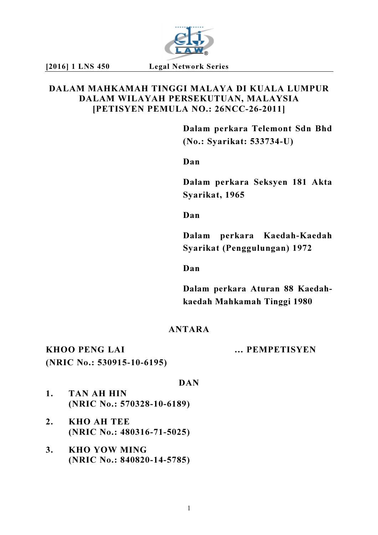

# DALAM MAHKAMAH TINGGI MALAYA DI KUALA LUMPUR DALAM WILAYAH PERSEKUTUAN, MALAYSIA [PETISYEN PEMULA NO.: 26NCC-26-2011]

Dalam perkara Telemont Sdn Bhd (No.: Syarikat: 533734-U)

Dan

Dalam perkara Seksyen 181 Akta Syarikat, 1965

Dan

Dalam perkara Kaedah-Kaedah Syarikat (Penggulungan) 1972

Dan

Dalam perkara Aturan 88 Kaedahkaedah Mahkamah Tinggi 1980

# ANTARA

KHOO PENG LAI … PEMPETISYEN (NRIC No.: 530915-10-6195)

### DAN

- 1. TAN AH HIN (NRIC No.: 570328-10-6189)
- 2. KHO AH TEE (NRIC No.: 480316-71-5025)
- 3. KHO YOW MING (NRIC No.: 840820-14-5785)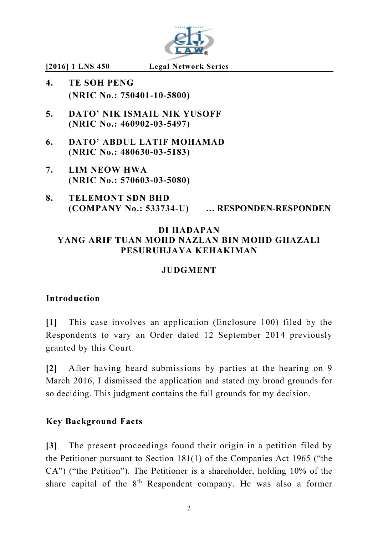

- 4. TE SOH PENG (NRIC No.: 750401-10-5800)
- 5. DATO' NIK ISMAIL NIK YUSOFF (NRIC No.: 460902-03-5497)
- 6. DATO' ABDUL LATIF MOHAMAD (NRIC No.: 480630-03-5183)
- 7. LIM NEOW HWA (NRIC No.: 570603-03-5080)
- 8. TELEMONT SDN BHD (COMPANY No.: 533734-U) … RESPONDEN-RESPONDEN

# DI HADAPAN YANG ARIF TUAN MOHD NAZLAN BIN MOHD GHAZALI PESURUHJAYA KEHAKIMAN

# **JUDGMENT**

## Introduction

[1] This case involves an application (Enclosure 100) filed by the Respondents to vary an Order dated 12 September 2014 previously granted by this Court.

[2] After having heard submissions by parties at the hearing on 9 March 2016, I dismissed the application and stated my broad grounds for so deciding. This judgment contains the full grounds for my decision.

## Key Background Facts

[3] The present proceedings found their origin in a petition filed by the Petitioner pursuant to Section 181(1) of the Companies Act 1965 ("the CA") ("the Petition"). The Petitioner is a shareholder, holding 10% of the share capital of the  $8<sup>th</sup>$  Respondent company. He was also a former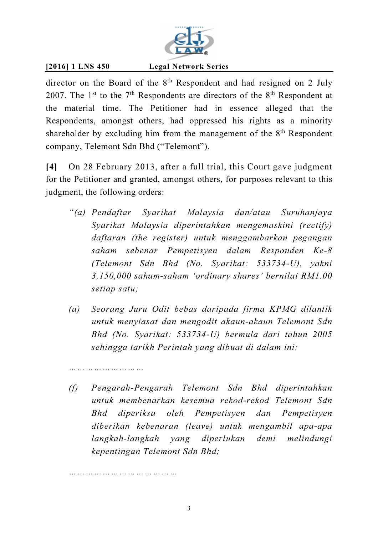

director on the Board of the  $8<sup>th</sup>$  Respondent and had resigned on 2 July 2007. The 1<sup>st</sup> to the  $7<sup>th</sup>$  Respondents are directors of the  $8<sup>th</sup>$  Respondent at the material time. The Petitioner had in essence alleged that the Respondents, amongst others, had oppressed his rights as a minority shareholder by excluding him from the management of the  $8<sup>th</sup>$  Respondent company, Telemont Sdn Bhd ("Telemont").

[4] On 28 February 2013, after a full trial, this Court gave judgment for the Petitioner and granted, amongst others, for purposes relevant to this judgment, the following orders:

- *"(a) Pendaftar Syarikat Malaysia dan/atau Suruhanjaya Syarikat Malaysia diperintahkan mengemaskini (rectify) daftaran (the register) untuk menggambarkan pegangan saham sebenar Pempetisyen dalam Responden Ke-8 (Telemont Sdn Bhd (No. Syarikat: 533734-U), yakni 3,150,000 saham-saham 'ordinary shares' bernilai RM1.00 setiap satu;*
- *(a) Seorang Juru Odit bebas daripada firma KPMG dilantik untuk menyiasat dan mengodit akaun-akaun Telemont Sdn Bhd (No. Syarikat: 533734-U) bermula dari tahun 2005 sehingga tarikh Perintah yang dibuat di dalam ini;*
- *(f) Pengarah-Pengarah Telemont Sdn Bhd diperintahkan untuk membenarkan kesemua rekod-rekod Telemont Sdn Bhd diperiksa oleh Pempetisyen dan Pempetisyen diberikan kebenaran (leave) untuk mengambil apa-apa langkah-langkah yang diperlukan demi melindungi kepentingan Telemont Sdn Bhd;*

*…………………………………* 

*………………………*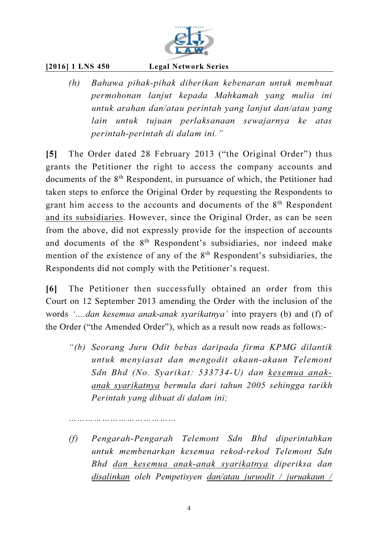

*(h) Bahawa pihak-pihak diberikan kebenaran untuk membuat permohonan lanjut kepada Mahkamah yang mulia ini untuk arahan dan/atau perintah yang lanjut dan/atau yang lain untuk tujuan perlaksanaan sewajarnya ke atas perintah-perintah di dalam ini."* 

[5] The Order dated 28 February 2013 ("the Original Order") thus grants the Petitioner the right to access the company accounts and documents of the 8<sup>th</sup> Respondent, in pursuance of which, the Petitioner had taken steps to enforce the Original Order by requesting the Respondents to grant him access to the accounts and documents of the 8<sup>th</sup> Respondent and its subsidiaries. However, since the Original Order, as can be seen from the above, did not expressly provide for the inspection of accounts and documents of the 8<sup>th</sup> Respondent's subsidiaries, nor indeed make mention of the existence of any of the 8<sup>th</sup> Respondent's subsidiaries, the Respondents did not comply with the Petitioner's request.

[6] The Petitioner then successfully obtained an order from this Court on 12 September 2013 amending the Order with the inclusion of the words *'….dan kesemua anak-anak syarikatnya'* into prayers (b) and (f) of the Order ("the Amended Order"), which as a result now reads as follows:-

- *"(b) Seorang Juru Odit bebas daripada firma KPMG dilantik untuk menyiasat dan mengodit akaun-akaun Telemont Sdn Bhd (No. Syarikat: 533734-U) dan kesemua anakanak syarikatnya bermula dari tahun 2005 sehingga tarikh Perintah yang dibuat di dalam ini;*
- *(f) Pengarah-Pengarah Telemont Sdn Bhd diperintahkan untuk membenarkan kesemua rekod-rekod Telemont Sdn Bhd dan kesemua anak-anak syarikatnya diperiksa dan disalinkan oleh Pempetisyen dan/atau juruodit / juruakaun /*

*…………………………………*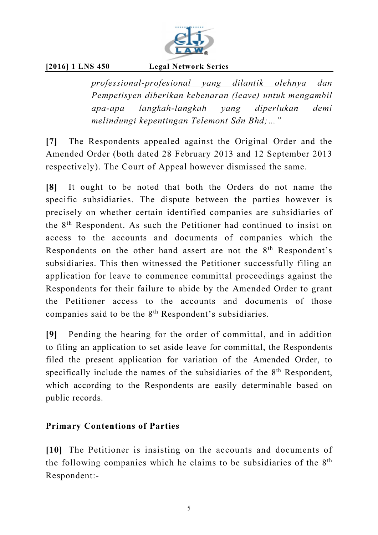

*professional-profesional yang dilantik olehnya dan Pempetisyen diberikan kebenaran (leave) untuk mengambil apa-apa langkah-langkah yang diperlukan demi melindungi kepentingan Telemont Sdn Bhd;…"* 

[7] The Respondents appealed against the Original Order and the Amended Order (both dated 28 February 2013 and 12 September 2013 respectively). The Court of Appeal however dismissed the same.

[8] It ought to be noted that both the Orders do not name the specific subsidiaries. The dispute between the parties however is precisely on whether certain identified companies are subsidiaries of the 8th Respondent. As such the Petitioner had continued to insist on access to the accounts and documents of companies which the Respondents on the other hand assert are not the 8<sup>th</sup> Respondent's subsidiaries. This then witnessed the Petitioner successfully filing an application for leave to commence committal proceedings against the Respondents for their failure to abide by the Amended Order to grant the Petitioner access to the accounts and documents of those companies said to be the 8<sup>th</sup> Respondent's subsidiaries.

[9] Pending the hearing for the order of committal, and in addition to filing an application to set aside leave for committal, the Respondents filed the present application for variation of the Amended Order, to specifically include the names of the subsidiaries of the  $8<sup>th</sup>$  Respondent, which according to the Respondents are easily determinable based on public records.

# Primary Contentions of Parties

[10] The Petitioner is insisting on the accounts and documents of the following companies which he claims to be subsidiaries of the  $8<sup>th</sup>$ Respondent:-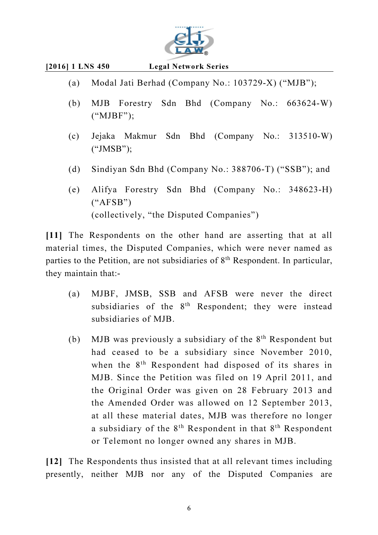

- (a) Modal Jati Berhad (Company No.: 103729-X) ("MJB");
- (b) MJB Forestry Sdn Bhd (Company No.: 663624-W) ("MJBF");
- (c) Jejaka Makmur Sdn Bhd (Company No.: 313510-W) ("JMSB");
- (d) Sindiyan Sdn Bhd (Company No.: 388706-T) ("SSB"); and
- (e) Alifya Forestry Sdn Bhd (Company No.: 348623-H)  $(*AFSB")$ (collectively, "the Disputed Companies")

[11] The Respondents on the other hand are asserting that at all material times, the Disputed Companies, which were never named as parties to the Petition, are not subsidiaries of 8th Respondent. In particular, they maintain that:-

- (a) MJBF, JMSB, SSB and AFSB were never the direct subsidiaries of the 8<sup>th</sup> Respondent; they were instead subsidiaries of MJB.
- (b) MJB was previously a subsidiary of the  $8<sup>th</sup>$  Respondent but had ceased to be a subsidiary since November 2010, when the  $8<sup>th</sup>$  Respondent had disposed of its shares in MJB. Since the Petition was filed on 19 April 2011, and the Original Order was given on 28 February 2013 and the Amended Order was allowed on 12 September 2013, at all these material dates, MJB was therefore no longer a subsidiary of the  $8<sup>th</sup>$  Respondent in that  $8<sup>th</sup>$  Respondent or Telemont no longer owned any shares in MJB.

[12] The Respondents thus insisted that at all relevant times including presently, neither MJB nor any of the Disputed Companies are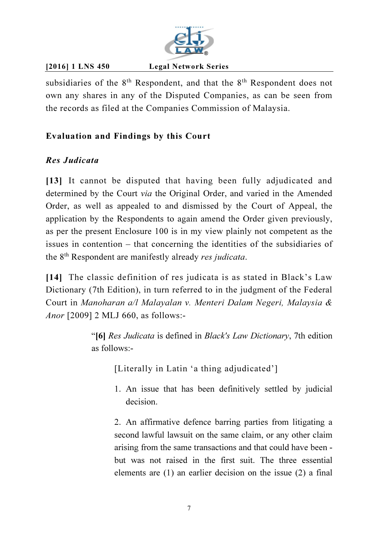

subsidiaries of the  $8<sup>th</sup>$  Respondent, and that the  $8<sup>th</sup>$  Respondent does not own any shares in any of the Disputed Companies, as can be seen from the records as filed at the Companies Commission of Malaysia.

# Evaluation and Findings by this Court

# Res Judicata

[13] It cannot be disputed that having been fully adjudicated and determined by the Court *via* the Original Order, and varied in the Amended Order, as well as appealed to and dismissed by the Court of Appeal, the application by the Respondents to again amend the Order given previously, as per the present Enclosure 100 is in my view plainly not competent as the issues in contention – that concerning the identities of the subsidiaries of the 8th Respondent are manifestly already *res judicata*.

[14] The classic definition of res judicata is as stated in Black's Law Dictionary (7th Edition), in turn referred to in the judgment of the Federal Court in *Manoharan a/l Malayalan v. Menteri Dalam Negeri, Malaysia & Anor* [2009] 2 MLJ 660, as follows:-

> "[6] *Res Judicata* is defined in *Black's Law Dictionary*, 7th edition as follows:-

[Literally in Latin 'a thing adjudicated']

1. An issue that has been definitively settled by judicial decision.

2. An affirmative defence barring parties from litigating a second lawful lawsuit on the same claim, or any other claim arising from the same transactions and that could have been but was not raised in the first suit. The three essential elements are (1) an earlier decision on the issue (2) a final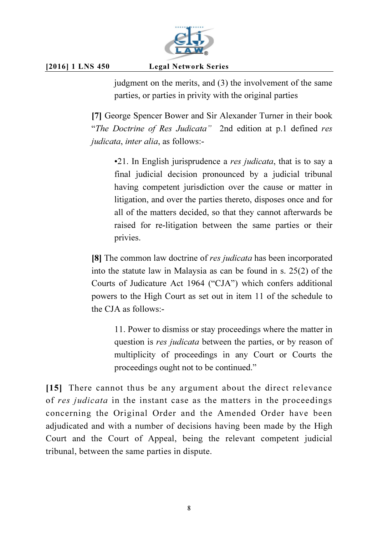

judgment on the merits, and (3) the involvement of the same parties, or parties in privity with the original parties

[7] George Spencer Bower and Sir Alexander Turner in their book "*The Doctrine of Res Judicata"* 2nd edition at p.1 defined *res judicata*, *inter alia*, as follows:-

•21. In English jurisprudence a *res judicata*, that is to say a final judicial decision pronounced by a judicial tribunal having competent jurisdiction over the cause or matter in litigation, and over the parties thereto, disposes once and for all of the matters decided, so that they cannot afterwards be raised for re-litigation between the same parties or their privies.

[8] The common law doctrine of *res judicata* has been incorporated into the statute law in Malaysia as can be found in s. 25(2) of the Courts of Judicature Act 1964 ("CJA") which confers additional powers to the High Court as set out in item 11 of the schedule to the CJA as follows:-

11. Power to dismiss or stay proceedings where the matter in question is *res judicata* between the parties, or by reason of multiplicity of proceedings in any Court or Courts the proceedings ought not to be continued."

[15] There cannot thus be any argument about the direct relevance of *res judicata* in the instant case as the matters in the proceedings concerning the Original Order and the Amended Order have been adjudicated and with a number of decisions having been made by the High Court and the Court of Appeal, being the relevant competent judicial tribunal, between the same parties in dispute.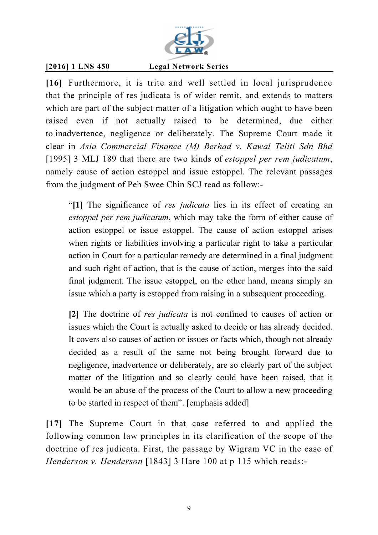

[16] Furthermore, it is trite and well settled in local jurisprudence that the principle of res judicata is of wider remit, and extends to matters which are part of the subject matter of a litigation which ought to have been raised even if not actually raised to be determined, due either to inadvertence, negligence or deliberately. The Supreme Court made it clear in *Asia Commercial Finance (M) Berhad v. Kawal Teliti Sdn Bhd* [1995] 3 MLJ 189 that there are two kinds of *estoppel per rem judicatum*, namely cause of action estoppel and issue estoppel. The relevant passages from the judgment of Peh Swee Chin SCJ read as follow:-

"[1] The significance of *res judicata* lies in its effect of creating an *estoppel per rem judicatum*, which may take the form of either cause of action estoppel or issue estoppel. The cause of action estoppel arises when rights or liabilities involving a particular right to take a particular action in Court for a particular remedy are determined in a final judgment and such right of action, that is the cause of action, merges into the said final judgment. The issue estoppel, on the other hand, means simply an issue which a party is estopped from raising in a subsequent proceeding.

[2] The doctrine of *res judicata* is not confined to causes of action or issues which the Court is actually asked to decide or has already decided. It covers also causes of action or issues or facts which, though not already decided as a result of the same not being brought forward due to negligence, inadvertence or deliberately, are so clearly part of the subject matter of the litigation and so clearly could have been raised, that it would be an abuse of the process of the Court to allow a new proceeding to be started in respect of them". [emphasis added]

[17] The Supreme Court in that case referred to and applied the following common law principles in its clarification of the scope of the doctrine of res judicata. First, the passage by Wigram VC in the case of *Henderson v. Henderson* [1843] 3 Hare 100 at p 115 which reads:-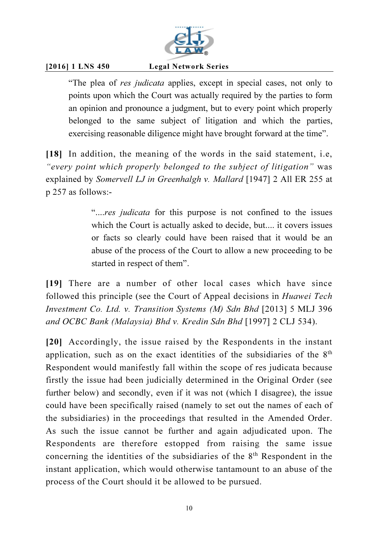

"The plea of *res judicata* applies, except in special cases, not only to points upon which the Court was actually required by the parties to form an opinion and pronounce a judgment, but to every point which properly belonged to the same subject of litigation and which the parties, exercising reasonable diligence might have brought forward at the time".

[18] In addition, the meaning of the words in the said statement, i.e, *"every point which properly belonged to the subject of litigation"* was explained by *Somervell LJ in Greenhalgh v. Mallard* [1947] 2 All ER 255 at p 257 as follows:-

> "....*res judicata* for this purpose is not confined to the issues which the Court is actually asked to decide, but.... it covers issues or facts so clearly could have been raised that it would be an abuse of the process of the Court to allow a new proceeding to be started in respect of them".

[19] There are a number of other local cases which have since followed this principle (see the Court of Appeal decisions in *Huawei Tech Investment Co. Ltd. v. Transition Systems (M) Sdn Bhd* [2013] 5 MLJ 396 *and OCBC Bank (Malaysia) Bhd v. Kredin Sdn Bhd* [1997] 2 CLJ 534).

[20] Accordingly, the issue raised by the Respondents in the instant application, such as on the exact identities of the subsidiaries of the 8th Respondent would manifestly fall within the scope of res judicata because firstly the issue had been judicially determined in the Original Order (see further below) and secondly, even if it was not (which I disagree), the issue could have been specifically raised (namely to set out the names of each of the subsidiaries) in the proceedings that resulted in the Amended Order. As such the issue cannot be further and again adjudicated upon. The Respondents are therefore estopped from raising the same issue concerning the identities of the subsidiaries of the  $8<sup>th</sup>$  Respondent in the instant application, which would otherwise tantamount to an abuse of the process of the Court should it be allowed to be pursued.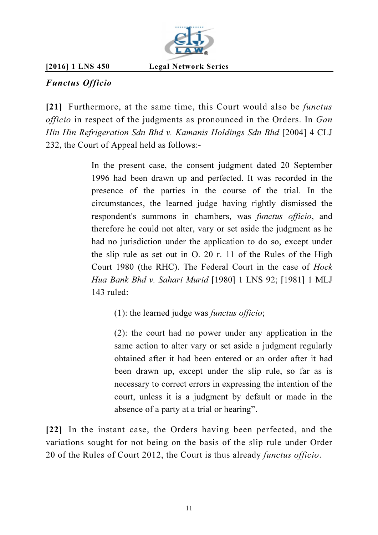

# Functus Officio

[21] Furthermore, at the same time, this Court would also be *functus officio* in respect of the judgments as pronounced in the Orders. In *Gan Hin Hin Refrigeration Sdn Bhd v. Kamanis Holdings Sdn Bhd* [2004] 4 CLJ 232, the Court of Appeal held as follows:-

> In the present case, the consent judgment dated 20 September 1996 had been drawn up and perfected. It was recorded in the presence of the parties in the course of the trial. In the circumstances, the learned judge having rightly dismissed the respondent's summons in chambers, was *functus officio*, and therefore he could not alter, vary or set aside the judgment as he had no jurisdiction under the application to do so, except under the slip rule as set out in O. 20 r. 11 of the Rules of the High Court 1980 (the RHC). The Federal Court in the case of *Hock Hua Bank Bhd v. Sahari Murid* [1980] 1 LNS 92; [1981] 1 MLJ 143 ruled:

(1): the learned judge was *functus officio*;

(2): the court had no power under any application in the same action to alter vary or set aside a judgment regularly obtained after it had been entered or an order after it had been drawn up, except under the slip rule, so far as is necessary to correct errors in expressing the intention of the court, unless it is a judgment by default or made in the absence of a party at a trial or hearing".

[22] In the instant case, the Orders having been perfected, and the variations sought for not being on the basis of the slip rule under Order 20 of the Rules of Court 2012, the Court is thus already *functus officio*.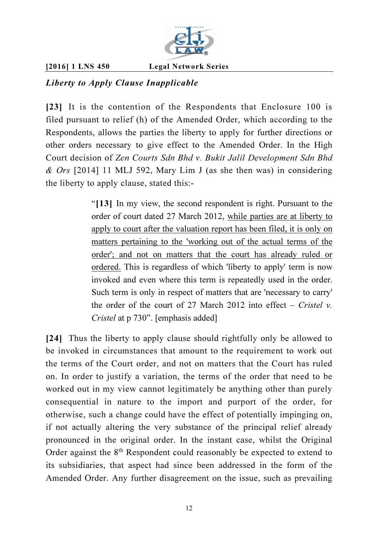

# Liberty to Apply Clause Inapplicable

[23] It is the contention of the Respondents that Enclosure 100 is filed pursuant to relief (h) of the Amended Order, which according to the Respondents, allows the parties the liberty to apply for further directions or other orders necessary to give effect to the Amended Order. In the High Court decision of *Zen Courts Sdn Bhd v. Bukit Jalil Development Sdn Bhd & Ors* [2014] 11 MLJ 592, Mary Lim J (as she then was) in considering the liberty to apply clause, stated this:-

> "[13] In my view, the second respondent is right. Pursuant to the order of court dated 27 March 2012, while parties are at liberty to apply to court after the valuation report has been filed, it is only on matters pertaining to the 'working out of the actual terms of the order'; and not on matters that the court has already ruled or ordered. This is regardless of which 'liberty to apply' term is now invoked and even where this term is repeatedly used in the order. Such term is only in respect of matters that are 'necessary to carry' the order of the court of 27 March 2012 into effect – *Cristel v. Cristel* at p 730". [emphasis added]

[24] Thus the liberty to apply clause should rightfully only be allowed to be invoked in circumstances that amount to the requirement to work out the terms of the Court order, and not on matters that the Court has ruled on. In order to justify a variation, the terms of the order that need to be worked out in my view cannot legitimately be anything other than purely consequential in nature to the import and purport of the order, for otherwise, such a change could have the effect of potentially impinging on, if not actually altering the very substance of the principal relief already pronounced in the original order. In the instant case, whilst the Original Order against the  $8<sup>th</sup>$  Respondent could reasonably be expected to extend to its subsidiaries, that aspect had since been addressed in the form of the Amended Order. Any further disagreement on the issue, such as prevailing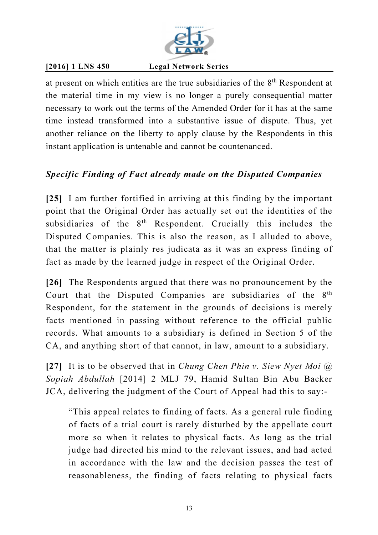

at present on which entities are the true subsidiaries of the 8th Respondent at the material time in my view is no longer a purely consequential matter necessary to work out the terms of the Amended Order for it has at the same time instead transformed into a substantive issue of dispute. Thus, yet another reliance on the liberty to apply clause by the Respondents in this instant application is untenable and cannot be countenanced.

# Specific Finding of Fact already made on the Disputed Companies

[25] I am further fortified in arriving at this finding by the important point that the Original Order has actually set out the identities of the subsidiaries of the  $8<sup>th</sup>$  Respondent. Crucially this includes the Disputed Companies. This is also the reason, as I alluded to above, that the matter is plainly res judicata as it was an express finding of fact as made by the learned judge in respect of the Original Order.

[26] The Respondents argued that there was no pronouncement by the Court that the Disputed Companies are subsidiaries of the 8th Respondent, for the statement in the grounds of decisions is merely facts mentioned in passing without reference to the official public records. What amounts to a subsidiary is defined in Section 5 of the CA, and anything short of that cannot, in law, amount to a subsidiary.

[27] It is to be observed that in *Chung Chen Phin v. Siew Nyet Moi @ Sopiah Abdullah* [2014] 2 MLJ 79, Hamid Sultan Bin Abu Backer JCA, delivering the judgment of the Court of Appeal had this to say:-

"This appeal relates to finding of facts. As a general rule finding of facts of a trial court is rarely disturbed by the appellate court more so when it relates to physical facts. As long as the trial judge had directed his mind to the relevant issues, and had acted in accordance with the law and the decision passes the test of reasonableness, the finding of facts relating to physical facts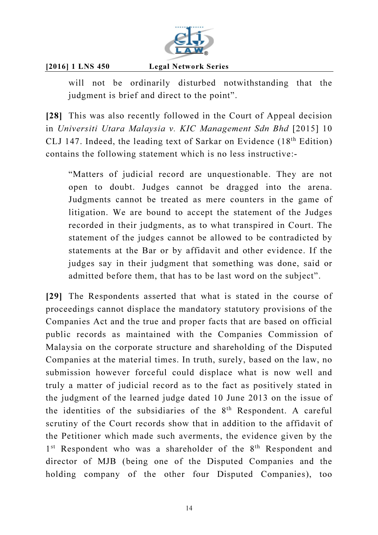

will not be ordinarily disturbed notwithstanding that the judgment is brief and direct to the point".

[28] This was also recently followed in the Court of Appeal decision in *Universiti Utara Malaysia v. KIC Management Sdn Bhd* [2015] 10 CLJ 147. Indeed, the leading text of Sarkar on Evidence (18th Edition) contains the following statement which is no less instructive:-

"Matters of judicial record are unquestionable. They are not open to doubt. Judges cannot be dragged into the arena. Judgments cannot be treated as mere counters in the game of litigation. We are bound to accept the statement of the Judges recorded in their judgments, as to what transpired in Court. The statement of the judges cannot be allowed to be contradicted by statements at the Bar or by affidavit and other evidence. If the judges say in their judgment that something was done, said or admitted before them, that has to be last word on the subject".

[29] The Respondents asserted that what is stated in the course of proceedings cannot displace the mandatory statutory provisions of the Companies Act and the true and proper facts that are based on official public records as maintained with the Companies Commission of Malaysia on the corporate structure and shareholding of the Disputed Companies at the material times. In truth, surely, based on the law, no submission however forceful could displace what is now well and truly a matter of judicial record as to the fact as positively stated in the judgment of the learned judge dated 10 June 2013 on the issue of the identities of the subsidiaries of the  $8<sup>th</sup>$  Respondent. A careful scrutiny of the Court records show that in addition to the affidavit of the Petitioner which made such averments, the evidence given by the 1<sup>st</sup> Respondent who was a shareholder of the 8<sup>th</sup> Respondent and director of MJB (being one of the Disputed Companies and the holding company of the other four Disputed Companies), too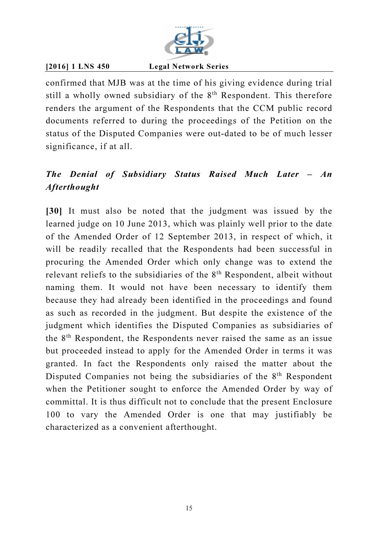

confirmed that MJB was at the time of his giving evidence during trial still a wholly owned subsidiary of the 8<sup>th</sup> Respondent. This therefore renders the argument of the Respondents that the CCM public record documents referred to during the proceedings of the Petition on the status of the Disputed Companies were out-dated to be of much lesser significance, if at all.

# The Denial of Subsidiary Status Raised Much Later – An Afterthought

[30] It must also be noted that the judgment was issued by the learned judge on 10 June 2013, which was plainly well prior to the date of the Amended Order of 12 September 2013, in respect of which, it will be readily recalled that the Respondents had been successful in procuring the Amended Order which only change was to extend the relevant reliefs to the subsidiaries of the 8<sup>th</sup> Respondent, albeit without naming them. It would not have been necessary to identify them because they had already been identified in the proceedings and found as such as recorded in the judgment. But despite the existence of the judgment which identifies the Disputed Companies as subsidiaries of the 8th Respondent, the Respondents never raised the same as an issue but proceeded instead to apply for the Amended Order in terms it was granted. In fact the Respondents only raised the matter about the Disputed Companies not being the subsidiaries of the 8<sup>th</sup> Respondent when the Petitioner sought to enforce the Amended Order by way of committal. It is thus difficult not to conclude that the present Enclosure 100 to vary the Amended Order is one that may justifiably be characterized as a convenient afterthought.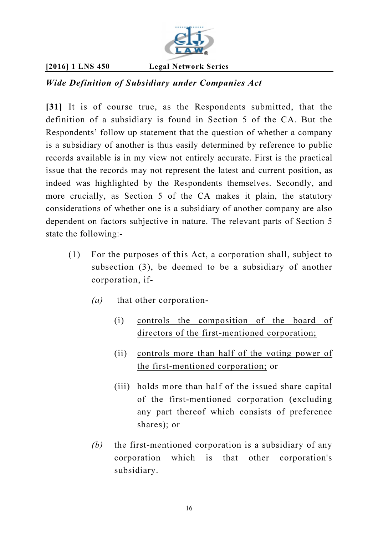

# Wide Definition of Subsidiary under Companies Act

[31] It is of course true, as the Respondents submitted, that the definition of a subsidiary is found in Section 5 of the CA. But the Respondents' follow up statement that the question of whether a company is a subsidiary of another is thus easily determined by reference to public records available is in my view not entirely accurate. First is the practical issue that the records may not represent the latest and current position, as indeed was highlighted by the Respondents themselves. Secondly, and more crucially, as Section 5 of the CA makes it plain, the statutory considerations of whether one is a subsidiary of another company are also dependent on factors subjective in nature. The relevant parts of Section 5 state the following:-

- (1) For the purposes of this Act, a corporation shall, subject to subsection (3), be deemed to be a subsidiary of another corporation, if-
	- *(a)* that other corporation-
		- (i) controls the composition of the board of directors of the first-mentioned corporation;
		- (ii) controls more than half of the voting power of the first-mentioned corporation; or
		- (iii) holds more than half of the issued share capital of the first-mentioned corporation (excluding any part thereof which consists of preference shares); or
	- *(b)* the first-mentioned corporation is a subsidiary of any corporation which is that other corporation's subsidiary.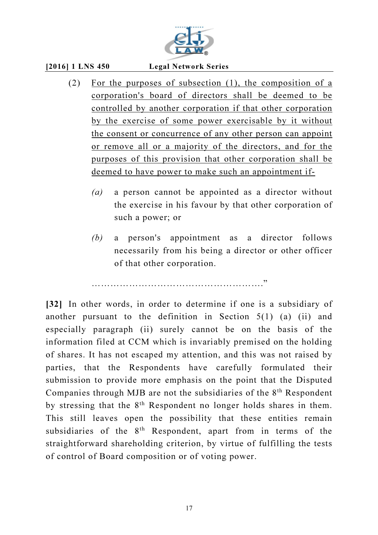

- (2) For the purposes of subsection (1), the composition of a corporation's board of directors shall be deemed to be controlled by another corporation if that other corporation by the exercise of some power exercisable by it without the consent or concurrence of any other person can appoint or remove all or a majority of the directors, and for the purposes of this provision that other corporation shall be deemed to have power to make such an appointment if-
	- *(a)* a person cannot be appointed as a director without the exercise in his favour by that other corporation of such a power; or
	- *(b)* a person's appointment as a director follows necessarily from his being a director or other officer of that other corporation.

………………………………………………."

[32] In other words, in order to determine if one is a subsidiary of another pursuant to the definition in Section  $5(1)$  (a) (ii) and especially paragraph (ii) surely cannot be on the basis of the information filed at CCM which is invariably premised on the holding of shares. It has not escaped my attention, and this was not raised by parties, that the Respondents have carefully formulated their submission to provide more emphasis on the point that the Disputed Companies through MJB are not the subsidiaries of the 8<sup>th</sup> Respondent by stressing that the 8<sup>th</sup> Respondent no longer holds shares in them. This still leaves open the possibility that these entities remain subsidiaries of the 8<sup>th</sup> Respondent, apart from in terms of the straightforward shareholding criterion, by virtue of fulfilling the tests of control of Board composition or of voting power.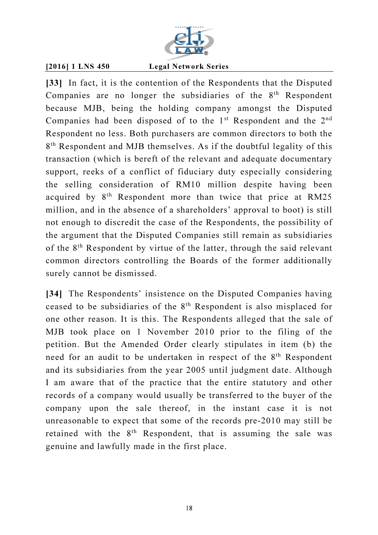

[33] In fact, it is the contention of the Respondents that the Disputed Companies are no longer the subsidiaries of the  $8<sup>th</sup>$  Respondent because MJB, being the holding company amongst the Disputed Companies had been disposed of to the  $1<sup>st</sup>$  Respondent and the  $2<sup>nd</sup>$ Respondent no less. Both purchasers are common directors to both the 8<sup>th</sup> Respondent and MJB themselves. As if the doubtful legality of this transaction (which is bereft of the relevant and adequate documentary support, reeks of a conflict of fiduciary duty especially considering the selling consideration of RM10 million despite having been acquired by 8th Respondent more than twice that price at RM25 million, and in the absence of a shareholders' approval to boot) is still not enough to discredit the case of the Respondents, the possibility of the argument that the Disputed Companies still remain as subsidiaries of the 8th Respondent by virtue of the latter, through the said relevant common directors controlling the Boards of the former additionally surely cannot be dismissed.

[34] The Respondents' insistence on the Disputed Companies having ceased to be subsidiaries of the 8th Respondent is also misplaced for one other reason. It is this. The Respondents alleged that the sale of MJB took place on 1 November 2010 prior to the filing of the petition. But the Amended Order clearly stipulates in item (b) the need for an audit to be undertaken in respect of the 8<sup>th</sup> Respondent and its subsidiaries from the year 2005 until judgment date. Although I am aware that of the practice that the entire statutory and other records of a company would usually be transferred to the buyer of the company upon the sale thereof, in the instant case it is not unreasonable to expect that some of the records pre-2010 may still be retained with the 8<sup>th</sup> Respondent, that is assuming the sale was genuine and lawfully made in the first place.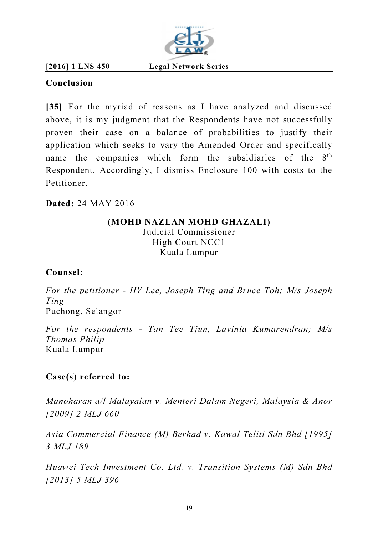

Conclusion

[35] For the myriad of reasons as I have analyzed and discussed above, it is my judgment that the Respondents have not successfully proven their case on a balance of probabilities to justify their application which seeks to vary the Amended Order and specifically name the companies which form the subsidiaries of the 8<sup>th</sup> Respondent. Accordingly, I dismiss Enclosure 100 with costs to the Petitioner.

## Dated: 24 MAY 2016

## (MOHD NAZLAN MOHD GHAZALI) Judicial Commissioner High Court NCC1 Kuala Lumpur

## Counsel:

*For the petitioner - HY Lee, Joseph Ting and Bruce Toh; M/s Joseph Ting*  Puchong, Selangor

*For the respondents - Tan Tee Tjun, Lavinia Kumarendran; M/s Thomas Philip*  Kuala Lumpur

## Case(s) referred to:

*Manoharan a/l Malayalan v. Menteri Dalam Negeri, Malaysia & Anor [2009] 2 MLJ 660* 

*Asia Commercial Finance (M) Berhad v. Kawal Teliti Sdn Bhd [1995] 3 MLJ 189* 

*Huawei Tech Investment Co. Ltd. v. Transition Systems (M) Sdn Bhd [2013] 5 MLJ 396*